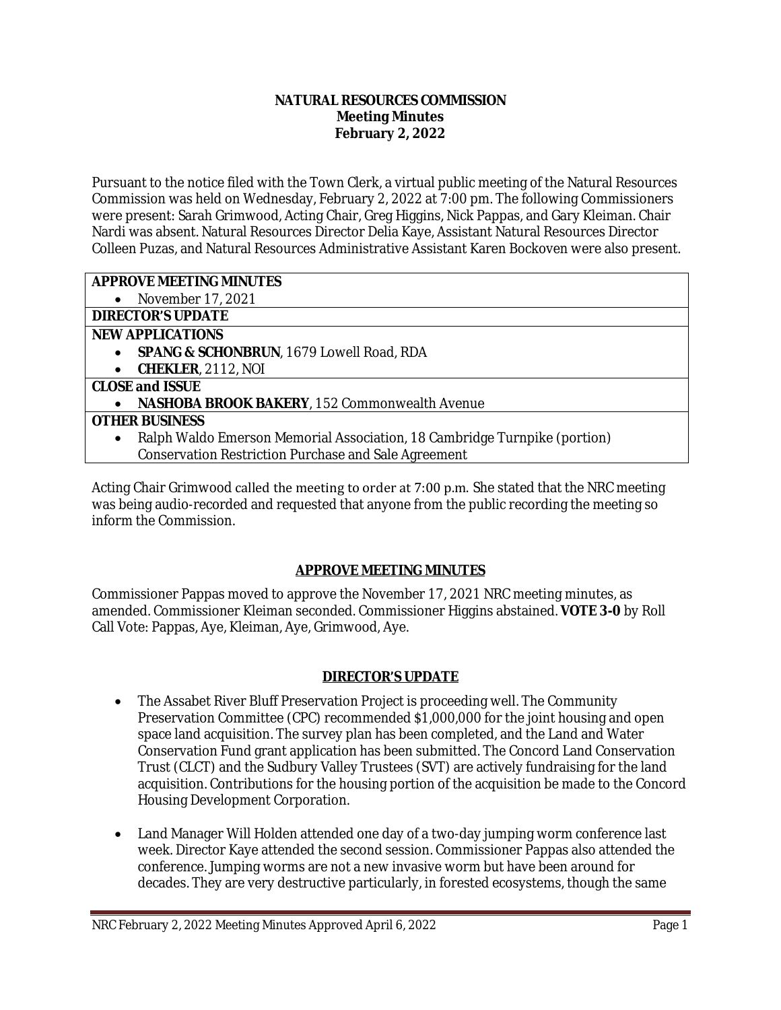#### **NATURAL RESOURCES COMMISSION Meeting Minutes February 2, 2022**

Pursuant to the notice filed with the Town Clerk, a virtual public meeting of the Natural Resources Commission was held on Wednesday, February 2, 2022 at 7:00 pm. The following Commissioners were present: Sarah Grimwood, Acting Chair, Greg Higgins, Nick Pappas, and Gary Kleiman. Chair Nardi was absent. Natural Resources Director Delia Kaye, Assistant Natural Resources Director Colleen Puzas, and Natural Resources Administrative Assistant Karen Bockoven were also present.

### **APPROVE MEETING MINUTES**

• November 17, 2021

# **DIRECTOR'S UPDATE**

### **NEW APPLICATIONS**

- **SPANG & SCHONBRUN**, 1679 Lowell Road, RDA
- **CHEKLER**, 2112, NOI

## **CLOSE and ISSUE**

**NASHOBA BROOK BAKERY**, 152 Commonwealth Avenue

### **OTHER BUSINESS**

- Ralph Waldo Emerson Memorial Association, 18 Cambridge Turnpike (portion)
	- Conservation Restriction Purchase and Sale Agreement

Acting Chair Grimwood called the meeting to order at 7:00 p.m. She stated that the NRC meeting was being audio-recorded and requested that anyone from the public recording the meeting so inform the Commission.

## **APPROVE MEETING MINUTES**

Commissioner Pappas moved to approve the November 17, 2021 NRC meeting minutes, as amended. Commissioner Kleiman seconded. Commissioner Higgins abstained. **VOTE 3-0** by Roll Call Vote: Pappas, Aye, Kleiman, Aye, Grimwood, Aye.

## **DIRECTOR'S UPDATE**

- The Assabet River Bluff Preservation Project is proceeding well. The Community Preservation Committee (CPC) recommended \$1,000,000 for the joint housing and open space land acquisition. The survey plan has been completed, and the Land and Water Conservation Fund grant application has been submitted. The Concord Land Conservation Trust (CLCT) and the Sudbury Valley Trustees (SVT) are actively fundraising for the land acquisition. Contributions for the housing portion of the acquisition be made to the Concord Housing Development Corporation.
- Land Manager Will Holden attended one day of a two-day jumping worm conference last week. Director Kaye attended the second session. Commissioner Pappas also attended the conference. Jumping worms are not a new invasive worm but have been around for decades. They are very destructive particularly, in forested ecosystems, though the same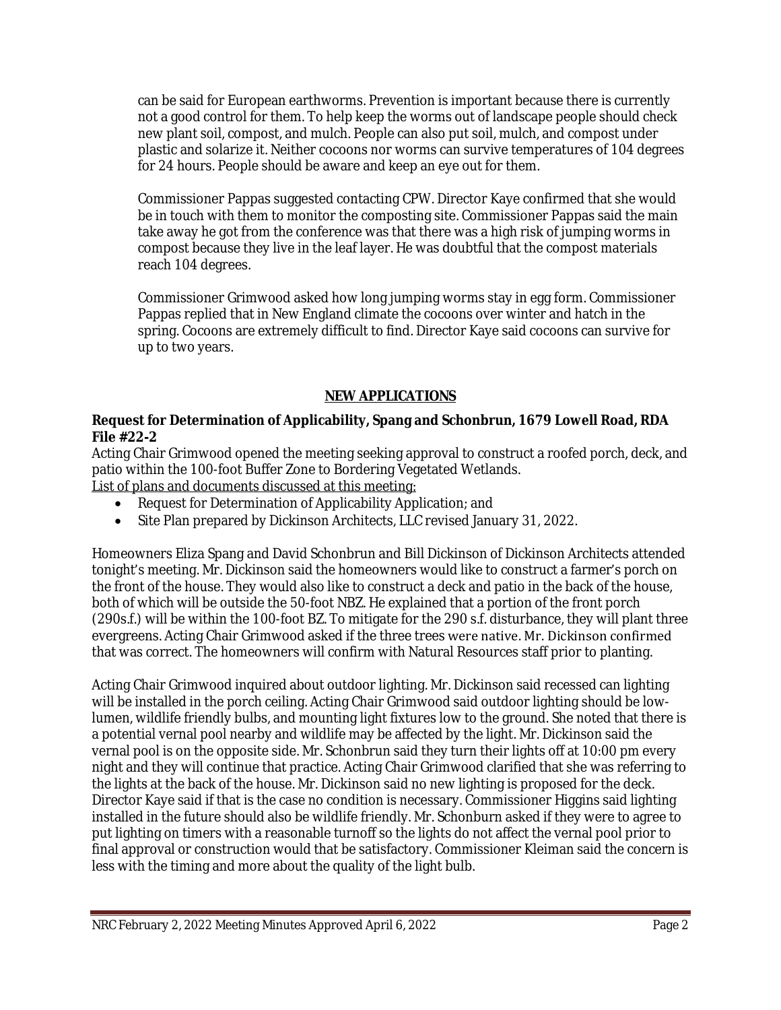can be said for European earthworms. Prevention is important because there is currently not a good control for them. To help keep the worms out of landscape people should check new plant soil, compost, and mulch. People can also put soil, mulch, and compost under plastic and solarize it. Neither cocoons nor worms can survive temperatures of 104 degrees for 24 hours. People should be aware and keep an eye out for them.

Commissioner Pappas suggested contacting CPW. Director Kaye confirmed that she would be in touch with them to monitor the composting site. Commissioner Pappas said the main take away he got from the conference was that there was a high risk of jumping worms in compost because they live in the leaf layer. He was doubtful that the compost materials reach 104 degrees.

Commissioner Grimwood asked how long jumping worms stay in egg form. Commissioner Pappas replied that in New England climate the cocoons over winter and hatch in the spring. Cocoons are extremely difficult to find. Director Kaye said cocoons can survive for up to two years.

## **NEW APPLICATIONS**

### **Request for Determination of Applicability, Spang and Schonbrun, 1679 Lowell Road, RDA File #22-2**

Acting Chair Grimwood opened the meeting seeking approval to construct a roofed porch, deck, and patio within the 100-foot Buffer Zone to Bordering Vegetated Wetlands. List of plans and documents discussed at this meeting:

- Request for Determination of Applicability Application; and
- Site Plan prepared by Dickinson Architects, LLC revised January 31, 2022.

Homeowners Eliza Spang and David Schonbrun and Bill Dickinson of Dickinson Architects attended tonight's meeting. Mr. Dickinson said the homeowners would like to construct a farmer's porch on the front of the house. They would also like to construct a deck and patio in the back of the house, both of which will be outside the 50-foot NBZ. He explained that a portion of the front porch (290s.f.) will be within the 100-foot BZ. To mitigate for the 290 s.f. disturbance, they will plant three evergreens. Acting Chair Grimwood asked if the three trees were native. Mr. Dickinson confirmed that was correct. The homeowners will confirm with Natural Resources staff prior to planting.

Acting Chair Grimwood inquired about outdoor lighting. Mr. Dickinson said recessed can lighting will be installed in the porch ceiling. Acting Chair Grimwood said outdoor lighting should be lowlumen, wildlife friendly bulbs, and mounting light fixtures low to the ground. She noted that there is a potential vernal pool nearby and wildlife may be affected by the light. Mr. Dickinson said the vernal pool is on the opposite side. Mr. Schonbrun said they turn their lights off at 10:00 pm every night and they will continue that practice. Acting Chair Grimwood clarified that she was referring to the lights at the back of the house. Mr. Dickinson said no new lighting is proposed for the deck. Director Kaye said if that is the case no condition is necessary. Commissioner Higgins said lighting installed in the future should also be wildlife friendly. Mr. Schonburn asked if they were to agree to put lighting on timers with a reasonable turnoff so the lights do not affect the vernal pool prior to final approval or construction would that be satisfactory. Commissioner Kleiman said the concern is less with the timing and more about the quality of the light bulb.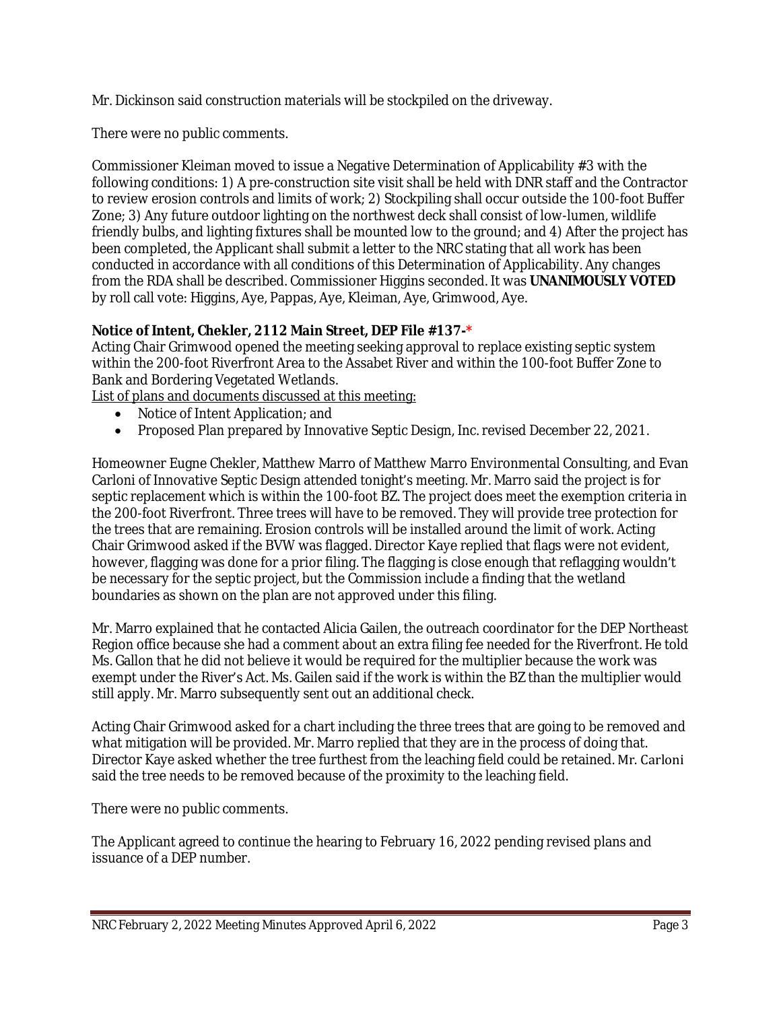Mr. Dickinson said construction materials will be stockpiled on the driveway.

There were no public comments.

Commissioner Kleiman moved to issue a Negative Determination of Applicability #3 with the following conditions: 1) A pre-construction site visit shall be held with DNR staff and the Contractor to review erosion controls and limits of work; 2) Stockpiling shall occur outside the 100-foot Buffer Zone; 3) Any future outdoor lighting on the northwest deck shall consist of low-lumen, wildlife friendly bulbs, and lighting fixtures shall be mounted low to the ground; and 4) After the project has been completed, the Applicant shall submit a letter to the NRC stating that all work has been conducted in accordance with all conditions of this Determination of Applicability. Any changes from the RDA shall be described. Commissioner Higgins seconded. It was **UNANIMOUSLY VOTED**  by roll call vote: Higgins, Aye, Pappas, Aye, Kleiman, Aye, Grimwood, Aye.

## **Notice of Intent, Chekler, 2112 Main Street, DEP File #137-\***

Acting Chair Grimwood opened the meeting seeking approval to replace existing septic system within the 200-foot Riverfront Area to the Assabet River and within the 100-foot Buffer Zone to Bank and Bordering Vegetated Wetlands.

List of plans and documents discussed at this meeting:

- Notice of Intent Application; and
- Proposed Plan prepared by Innovative Septic Design, Inc. revised December 22, 2021.

Homeowner Eugne Chekler, Matthew Marro of Matthew Marro Environmental Consulting, and Evan Carloni of Innovative Septic Design attended tonight's meeting. Mr. Marro said the project is for septic replacement which is within the 100-foot BZ. The project does meet the exemption criteria in the 200-foot Riverfront. Three trees will have to be removed. They will provide tree protection for the trees that are remaining. Erosion controls will be installed around the limit of work. Acting Chair Grimwood asked if the BVW was flagged. Director Kaye replied that flags were not evident, however, flagging was done for a prior filing. The flagging is close enough that reflagging wouldn't be necessary for the septic project, but the Commission include a finding that the wetland boundaries as shown on the plan are not approved under this filing.

Mr. Marro explained that he contacted Alicia Gailen, the outreach coordinator for the DEP Northeast Region office because she had a comment about an extra filing fee needed for the Riverfront. He told Ms. Gallon that he did not believe it would be required for the multiplier because the work was exempt under the River's Act. Ms. Gailen said if the work is within the BZ than the multiplier would still apply. Mr. Marro subsequently sent out an additional check.

Acting Chair Grimwood asked for a chart including the three trees that are going to be removed and what mitigation will be provided. Mr. Marro replied that they are in the process of doing that. Director Kaye asked whether the tree furthest from the leaching field could be retained. Mr. Carloni said the tree needs to be removed because of the proximity to the leaching field.

There were no public comments.

The Applicant agreed to continue the hearing to February 16, 2022 pending revised plans and issuance of a DEP number.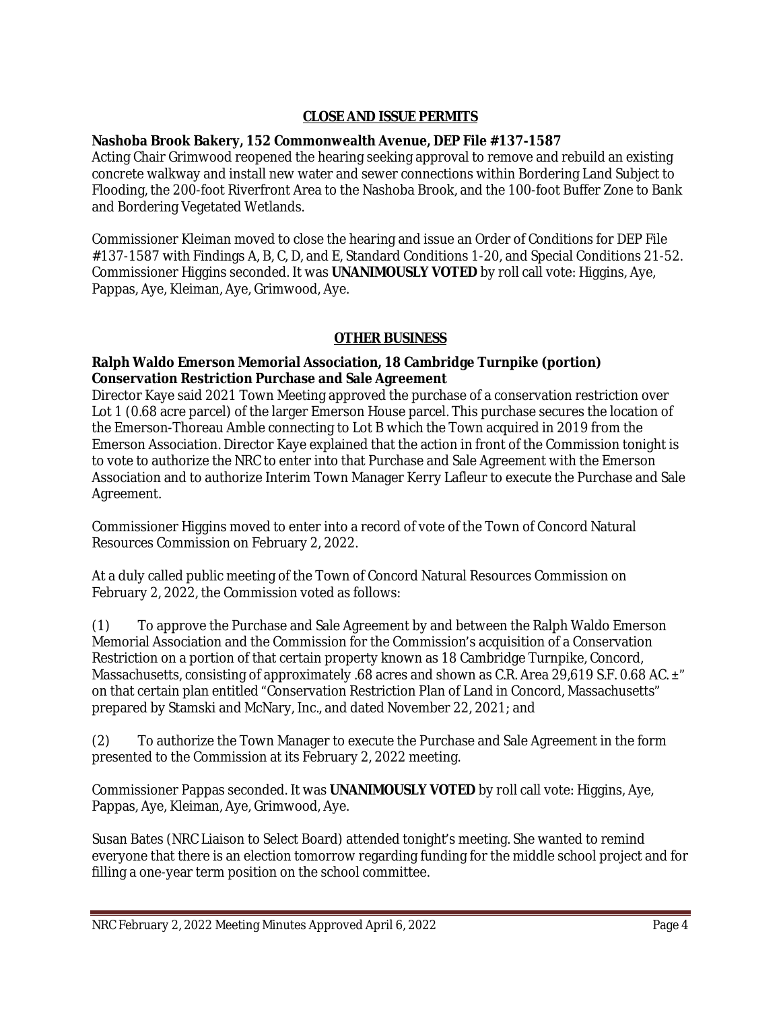## **CLOSE AND ISSUE PERMITS**

### **Nashoba Brook Bakery, 152 Commonwealth Avenue, DEP File #137-1587**

Acting Chair Grimwood reopened the hearing seeking approval to remove and rebuild an existing concrete walkway and install new water and sewer connections within Bordering Land Subject to Flooding, the 200-foot Riverfront Area to the Nashoba Brook, and the 100-foot Buffer Zone to Bank and Bordering Vegetated Wetlands.

Commissioner Kleiman moved to close the hearing and issue an Order of Conditions for DEP File #137-1587 with Findings A, B, C, D, and E, Standard Conditions 1-20, and Special Conditions 21-52. Commissioner Higgins seconded. It was **UNANIMOUSLY VOTED** by roll call vote: Higgins, Aye, Pappas, Aye, Kleiman, Aye, Grimwood, Aye.

### **OTHER BUSINESS**

### **Ralph Waldo Emerson Memorial Association, 18 Cambridge Turnpike (portion) Conservation Restriction Purchase and Sale Agreement**

Director Kaye said 2021 Town Meeting approved the purchase of a conservation restriction over Lot 1 (0.68 acre parcel) of the larger Emerson House parcel. This purchase secures the location of the Emerson-Thoreau Amble connecting to Lot B which the Town acquired in 2019 from the Emerson Association. Director Kaye explained that the action in front of the Commission tonight is to vote to authorize the NRC to enter into that Purchase and Sale Agreement with the Emerson Association and to authorize Interim Town Manager Kerry Lafleur to execute the Purchase and Sale Agreement.

Commissioner Higgins moved to enter into a record of vote of the Town of Concord Natural Resources Commission on February 2, 2022.

At a duly called public meeting of the Town of Concord Natural Resources Commission on February 2, 2022, the Commission voted as follows:

(1) To approve the Purchase and Sale Agreement by and between the Ralph Waldo Emerson Memorial Association and the Commission for the Commission's acquisition of a Conservation Restriction on a portion of that certain property known as 18 Cambridge Turnpike, Concord, Massachusetts, consisting of approximately .68 acres and shown as C.R. Area 29,619 S.F. 0.68 AC.  $\pm$ " on that certain plan entitled "Conservation Restriction Plan of Land in Concord, Massachusetts" prepared by Stamski and McNary, Inc., and dated November 22, 2021; and

(2) To authorize the Town Manager to execute the Purchase and Sale Agreement in the form presented to the Commission at its February 2, 2022 meeting.

Commissioner Pappas seconded. It was **UNANIMOUSLY VOTED** by roll call vote: Higgins, Aye, Pappas, Aye, Kleiman, Aye, Grimwood, Aye.

Susan Bates (NRC Liaison to Select Board) attended tonight's meeting. She wanted to remind everyone that there is an election tomorrow regarding funding for the middle school project and for filling a one-year term position on the school committee.